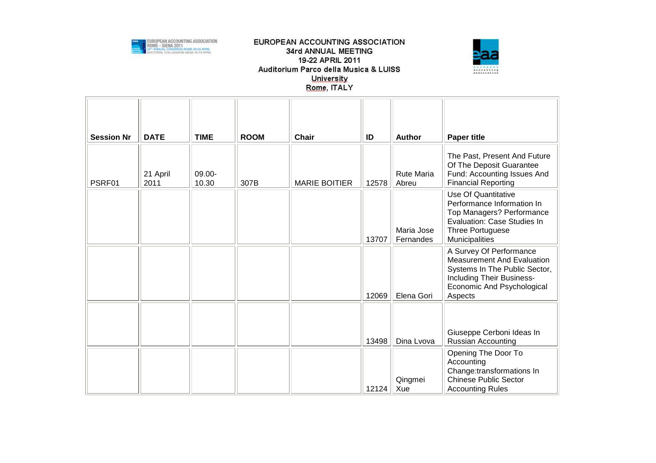



| <b>Session Nr</b> | <b>DATE</b>      | <b>TIME</b>     | <b>ROOM</b> | <b>Chair</b>         | ID    | <b>Author</b>              | <b>Paper title</b>                                                                                                                                                  |
|-------------------|------------------|-----------------|-------------|----------------------|-------|----------------------------|---------------------------------------------------------------------------------------------------------------------------------------------------------------------|
| PSRF01            | 21 April<br>2011 | 09.00-<br>10.30 | 307B        | <b>MARIE BOITIER</b> | 12578 | <b>Rute Maria</b><br>Abreu | The Past, Present And Future<br>Of The Deposit Guarantee<br>Fund: Accounting Issues And<br><b>Financial Reporting</b>                                               |
|                   |                  |                 |             |                      | 13707 | Maria Jose<br>Fernandes    | <b>Use Of Quantitative</b><br>Performance Information In<br>Top Managers? Performance<br>Evaluation: Case Studies In<br>Three Portuguese<br>Municipalities          |
|                   |                  |                 |             |                      | 12069 | Elena Gori                 | A Survey Of Performance<br><b>Measurement And Evaluation</b><br>Systems In The Public Sector,<br>Including Their Business-<br>Economic And Psychological<br>Aspects |
|                   |                  |                 |             |                      | 13498 | Dina Lvova                 | Giuseppe Cerboni Ideas In<br>Russian Accounting                                                                                                                     |
|                   |                  |                 |             |                      | 12124 | Qingmei<br>Xue             | Opening The Door To<br>Accounting<br>Change:transformations In<br><b>Chinese Public Sector</b><br><b>Accounting Rules</b>                                           |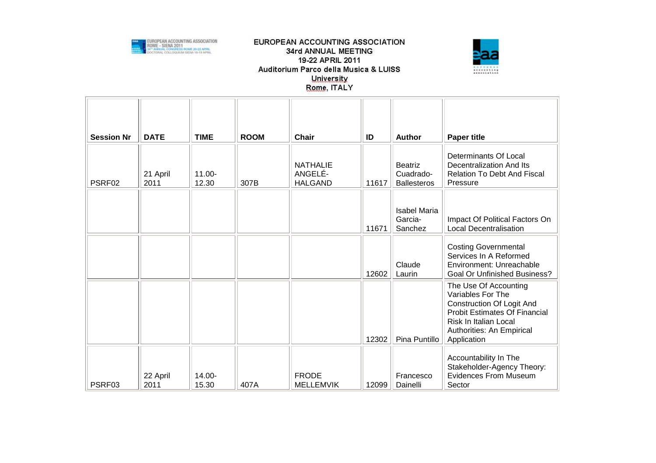



| <b>Session Nr</b> | <b>DATE</b>      | <b>TIME</b>        | <b>ROOM</b> | <b>Chair</b>                                 | ID    | Author                                            | <b>Paper title</b>                                                                                                                                                                          |
|-------------------|------------------|--------------------|-------------|----------------------------------------------|-------|---------------------------------------------------|---------------------------------------------------------------------------------------------------------------------------------------------------------------------------------------------|
| PSRF02            | 21 April<br>2011 | $11.00 -$<br>12.30 | 307B        | <b>NATHALIE</b><br>ANGELÉ-<br><b>HALGAND</b> | 11617 | <b>Beatriz</b><br>Cuadrado-<br><b>Ballesteros</b> | Determinants Of Local<br>Decentralization And Its<br><b>Relation To Debt And Fiscal</b><br>Pressure                                                                                         |
|                   |                  |                    |             |                                              | 11671 | <b>Isabel Maria</b><br>Garcia-<br>Sanchez         | Impact Of Political Factors On<br><b>Local Decentralisation</b>                                                                                                                             |
|                   |                  |                    |             |                                              | 12602 | Claude<br>Laurin                                  | <b>Costing Governmental</b><br>Services In A Reformed<br>Environment: Unreachable<br><b>Goal Or Unfinished Business?</b>                                                                    |
|                   |                  |                    |             |                                              | 12302 | Pina Puntillo                                     | The Use Of Accounting<br>Variables For The<br><b>Construction Of Logit And</b><br><b>Probit Estimates Of Financial</b><br>Risk In Italian Local<br>Authorities: An Empirical<br>Application |
| PSRF03            | 22 April<br>2011 | 14.00-<br>15.30    | 407A        | <b>FRODE</b><br><b>MELLEMVIK</b>             | 12099 | Francesco<br>Dainelli                             | Accountability In The<br>Stakeholder-Agency Theory:<br>Evidences From Museum<br>Sector                                                                                                      |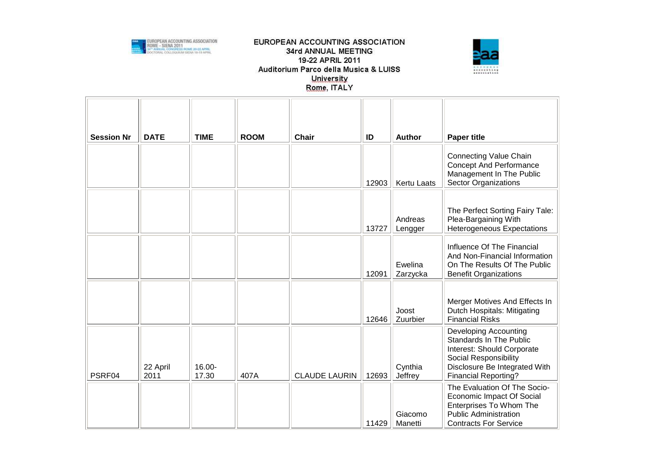



| <b>Session Nr</b> | <b>DATE</b>      | <b>TIME</b>     | <b>ROOM</b> | <b>Chair</b>         | ID    | <b>Author</b>       | <b>Paper title</b>                                                                                                                                                                    |
|-------------------|------------------|-----------------|-------------|----------------------|-------|---------------------|---------------------------------------------------------------------------------------------------------------------------------------------------------------------------------------|
|                   |                  |                 |             |                      | 12903 | <b>Kertu Laats</b>  | <b>Connecting Value Chain</b><br><b>Concept And Performance</b><br>Management In The Public<br><b>Sector Organizations</b>                                                            |
|                   |                  |                 |             |                      | 13727 | Andreas<br>Lengger  | The Perfect Sorting Fairy Tale:<br>Plea-Bargaining With<br>Heterogeneous Expectations                                                                                                 |
|                   |                  |                 |             |                      | 12091 | Ewelina<br>Zarzycka | Influence Of The Financial<br>And Non-Financial Information<br>On The Results Of The Public<br><b>Benefit Organizations</b>                                                           |
|                   |                  |                 |             |                      | 12646 | Joost<br>Zuurbier   | Merger Motives And Effects In<br>Dutch Hospitals: Mitigating<br><b>Financial Risks</b>                                                                                                |
| PSRF04            | 22 April<br>2011 | 16.00-<br>17.30 | 407A        | <b>CLAUDE LAURIN</b> | 12693 | Cynthia<br>Jeffrey  | <b>Developing Accounting</b><br><b>Standards In The Public</b><br>Interest: Should Corporate<br>Social Responsibility<br>Disclosure Be Integrated With<br><b>Financial Reporting?</b> |
|                   |                  |                 |             |                      | 11429 | Giacomo<br>Manetti  | The Evaluation Of The Socio-<br>Economic Impact Of Social<br>Enterprises To Whom The<br><b>Public Administration</b><br><b>Contracts For Service</b>                                  |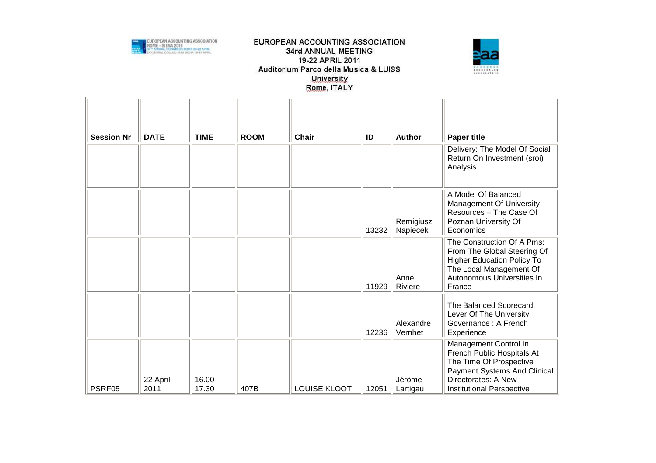



| <b>Session Nr</b> | <b>DATE</b>      | <b>TIME</b>     | <b>ROOM</b> | <b>Chair</b> | ID    | <b>Author</b>         | <b>Paper title</b>                                                                                                                                                        |
|-------------------|------------------|-----------------|-------------|--------------|-------|-----------------------|---------------------------------------------------------------------------------------------------------------------------------------------------------------------------|
|                   |                  |                 |             |              |       |                       | Delivery: The Model Of Social<br>Return On Investment (sroi)<br>Analysis                                                                                                  |
|                   |                  |                 |             |              | 13232 | Remigiusz<br>Napiecek | A Model Of Balanced<br><b>Management Of University</b><br>Resources - The Case Of<br>Poznan University Of<br>Economics                                                    |
|                   |                  |                 |             |              | 11929 | Anne<br>Riviere       | The Construction Of A Pms:<br>From The Global Steering Of<br><b>Higher Education Policy To</b><br>The Local Management Of<br>Autonomous Universities In<br>France         |
|                   |                  |                 |             |              | 12236 | Alexandre<br>Vernhet  | The Balanced Scorecard,<br>Lever Of The University<br>Governance: A French<br>Experience                                                                                  |
| PSRF05            | 22 April<br>2011 | 16.00-<br>17.30 | 407B        | LOUISE KLOOT | 12051 | Jérôme<br>Lartigau    | Management Control In<br>French Public Hospitals At<br>The Time Of Prospective<br>Payment Systems And Clinical<br>Directorates: A New<br><b>Institutional Perspective</b> |